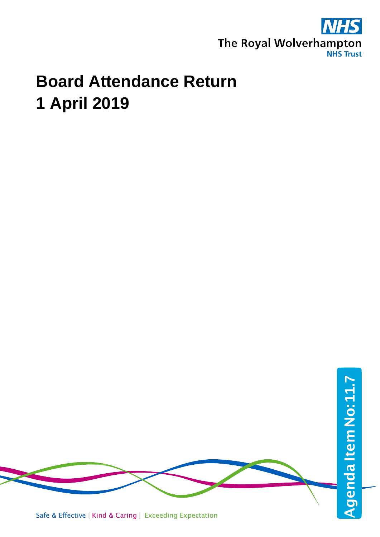

## **Board Attendance Return 1 April 2019**